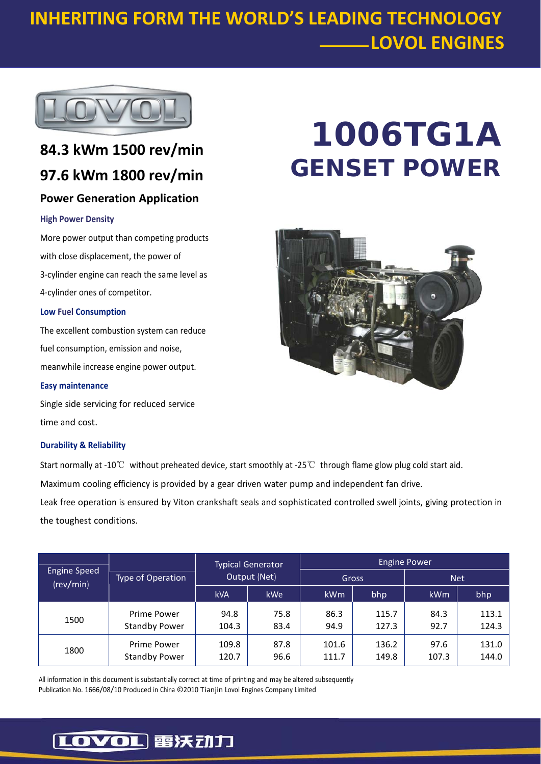### **INHERITING FORM THE WORLD'S LEADING TECHNOLOGY LOVOL ENGINES**



### **84.3 kWm 1500 rev/min 97.6 kWm 1800 rev/min Power Generation Application**

#### **High Power Density**

More power output than competing products with close displacement, the power of 3‐cylinder engine can reach the same level as 4‐cylinder ones of competitor.

#### **Low Fuel Consumption**

The excellent combustion system can reduce fuel consumption, emission and noise, meanwhile increase engine power output.

**Easy maintenance**

Single side servicing for reduced service time and cost.

#### **Durability & Reliability**

the toughest conditions.

Start normally at ‐10℃ without preheated device, start smoothly at ‐25℃ through flame glow plug cold start aid. Maximum cooling efficiency is provided by a gear driven water pump and independent fan drive. Leak free operation is ensured by Viton crankshaft seals and sophisticated controlled swell joints, giving protection in

| <b>Engine Speed</b><br>(rev/min) | Type of Operation                   | <b>Typical Generator</b><br>Output (Net) |              | <b>Engine Power</b> |                |               |                |
|----------------------------------|-------------------------------------|------------------------------------------|--------------|---------------------|----------------|---------------|----------------|
|                                  |                                     |                                          |              | Gross               |                | <b>Net</b>    |                |
|                                  |                                     | <b>kVA</b>                               | <b>kWe</b>   | kWm                 | bhp            | kWm           | bhp            |
| 1500                             | Prime Power<br><b>Standby Power</b> | 94.8<br>104.3                            | 75.8<br>83.4 | 86.3<br>94.9        | 115.7<br>127.3 | 84.3<br>92.7  | 113.1<br>124.3 |
| 1800                             | Prime Power<br><b>Standby Power</b> | 109.8<br>120.7                           | 87.8<br>96.6 | 101.6<br>111.7      | 136.2<br>149.8 | 97.6<br>107.3 | 131.0<br>144.0 |

All information in this document is substantially correct at time of printing and may be altered subsequently Publication No. 1666/08/10 Produced in China ©2010 Tianjin Lovol Engines Company Limited

# **1006TG1A GENSET POWER**



### [LOVOL] 雷沃动力